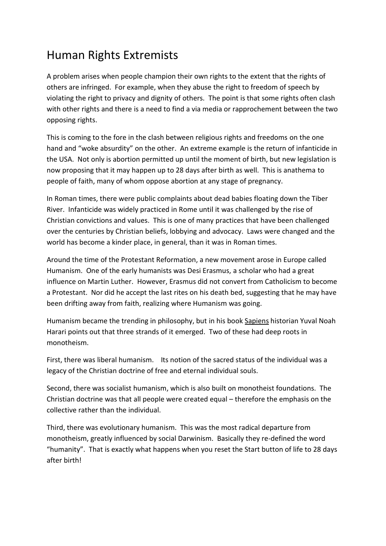## Human Rights Extremists

A problem arises when people champion their own rights to the extent that the rights of others are infringed. For example, when they abuse the right to freedom of speech by violating the right to privacy and dignity of others. The point is that some rights often clash with other rights and there is a need to find a via media or rapprochement between the two opposing rights.

This is coming to the fore in the clash between religious rights and freedoms on the one hand and "woke absurdity" on the other. An extreme example is the return of infanticide in the USA. Not only is abortion permitted up until the moment of birth, but new legislation is now proposing that it may happen up to 28 days after birth as well. This is anathema to people of faith, many of whom oppose abortion at any stage of pregnancy.

In Roman times, there were public complaints about dead babies floating down the Tiber River. Infanticide was widely practiced in Rome until it was challenged by the rise of Christian convictions and values. This is one of many practices that have been challenged over the centuries by Christian beliefs, lobbying and advocacy. Laws were changed and the world has become a kinder place, in general, than it was in Roman times.

Around the time of the Protestant Reformation, a new movement arose in Europe called Humanism. One of the early humanists was Desi Erasmus, a scholar who had a great influence on Martin Luther. However, Erasmus did not convert from Catholicism to become a Protestant. Nor did he accept the last rites on his death bed, suggesting that he may have been drifting away from faith, realizing where Humanism was going.

Humanism became the trending in philosophy, but in his book Sapiens historian Yuval Noah Harari points out that three strands of it emerged. Two of these had deep roots in monotheism.

First, there was liberal humanism. Its notion of the sacred status of the individual was a legacy of the Christian doctrine of free and eternal individual souls.

Second, there was socialist humanism, which is also built on monotheist foundations. The Christian doctrine was that all people were created equal – therefore the emphasis on the collective rather than the individual.

Third, there was evolutionary humanism. This was the most radical departure from monotheism, greatly influenced by social Darwinism. Basically they re-defined the word "humanity". That is exactly what happens when you reset the Start button of life to 28 days after birth!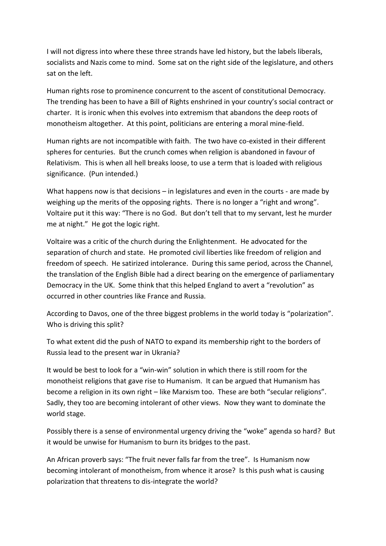I will not digress into where these three strands have led history, but the labels liberals, socialists and Nazis come to mind. Some sat on the right side of the legislature, and others sat on the left.

Human rights rose to prominence concurrent to the ascent of constitutional Democracy. The trending has been to have a Bill of Rights enshrined in your country's social contract or charter. It is ironic when this evolves into extremism that abandons the deep roots of monotheism altogether. At this point, politicians are entering a moral mine-field.

Human rights are not incompatible with faith. The two have co-existed in their different spheres for centuries. But the crunch comes when religion is abandoned in favour of Relativism. This is when all hell breaks loose, to use a term that is loaded with religious significance. (Pun intended.)

What happens now is that decisions – in legislatures and even in the courts - are made by weighing up the merits of the opposing rights. There is no longer a "right and wrong". Voltaire put it this way: "There is no God. But don't tell that to my servant, lest he murder me at night." He got the logic right.

Voltaire was a critic of the church during the Enlightenment. He advocated for the separation of church and state. He promoted civil liberties like freedom of religion and freedom of speech. He satirized intolerance. During this same period, across the Channel, the translation of the English Bible had a direct bearing on the emergence of parliamentary Democracy in the UK. Some think that this helped England to avert a "revolution" as occurred in other countries like France and Russia.

According to Davos, one of the three biggest problems in the world today is "polarization". Who is driving this split?

To what extent did the push of NATO to expand its membership right to the borders of Russia lead to the present war in Ukrania?

It would be best to look for a "win-win" solution in which there is still room for the monotheist religions that gave rise to Humanism. It can be argued that Humanism has become a religion in its own right – like Marxism too. These are both "secular religions". Sadly, they too are becoming intolerant of other views. Now they want to dominate the world stage.

Possibly there is a sense of environmental urgency driving the "woke" agenda so hard? But it would be unwise for Humanism to burn its bridges to the past.

An African proverb says: "The fruit never falls far from the tree". Is Humanism now becoming intolerant of monotheism, from whence it arose? Is this push what is causing polarization that threatens to dis-integrate the world?